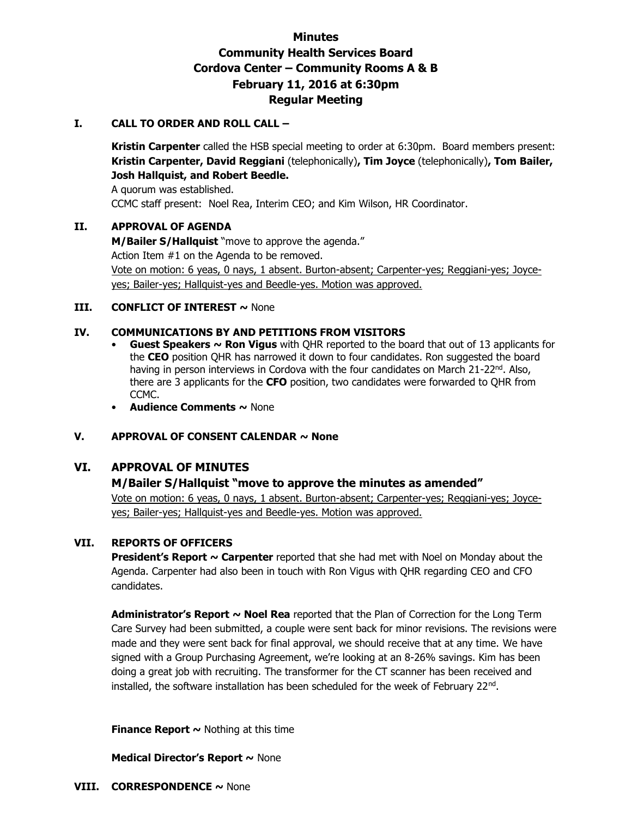# **Minutes Community Health Services Board Cordova Center – Community Rooms A & B February 11, 2016 at 6:30pm Regular Meeting**

### **I. CALL TO ORDER AND ROLL CALL –**

**Kristin Carpenter** called the HSB special meeting to order at 6:30pm. Board members present: **Kristin Carpenter, David Reggiani** (telephonically)**, Tim Joyce** (telephonically)**, Tom Bailer, Josh Hallquist, and Robert Beedle.** 

A quorum was established. CCMC staff present: Noel Rea, Interim CEO; and Kim Wilson, HR Coordinator.

### **II. APPROVAL OF AGENDA**

**M/Bailer S/Hallquist** "move to approve the agenda." Action Item #1 on the Agenda to be removed. Vote on motion: 6 yeas, 0 nays, 1 absent. Burton-absent; Carpenter-yes; Reggiani-yes; Joyceyes; Bailer-yes; Hallquist-yes and Beedle-yes. Motion was approved.

### **III. CONFLICT OF INTEREST ~ None**

### **IV. COMMUNICATIONS BY AND PETITIONS FROM VISITORS**

- **Guest Speakers ~ Ron Vigus** with QHR reported to the board that out of 13 applicants for the **CEO** position QHR has narrowed it down to four candidates. Ron suggested the board having in person interviews in Cordova with the four candidates on March 21-22<sup>nd</sup>. Also, there are 3 applicants for the **CFO** position, two candidates were forwarded to QHR from CCMC.
- **Audience Comments ~** None

# **V. APPROVAL OF CONSENT CALENDAR ~ None**

# **VI. APPROVAL OF MINUTES**

#### **M/Bailer S/Hallquist "move to approve the minutes as amended"**

Vote on motion: 6 yeas, 0 nays, 1 absent. Burton-absent; Carpenter-yes; Reggiani-yes; Joyceyes; Bailer-yes; Hallquist-yes and Beedle-yes. Motion was approved.

#### **VII. REPORTS OF OFFICERS**

**President's Report ~ Carpenter** reported that she had met with Noel on Monday about the Agenda. Carpenter had also been in touch with Ron Vigus with QHR regarding CEO and CFO candidates.

**Administrator's Report ~ Noel Rea** reported that the Plan of Correction for the Long Term Care Survey had been submitted, a couple were sent back for minor revisions. The revisions were made and they were sent back for final approval, we should receive that at any time. We have signed with a Group Purchasing Agreement, we're looking at an 8-26% savings. Kim has been doing a great job with recruiting. The transformer for the CT scanner has been received and installed, the software installation has been scheduled for the week of February 22nd .

**Finance Report**  $\sim$  **Nothing at this time** 

#### **Medical Director's Report ~** None

**VIII. CORRESPONDENCE ~** None